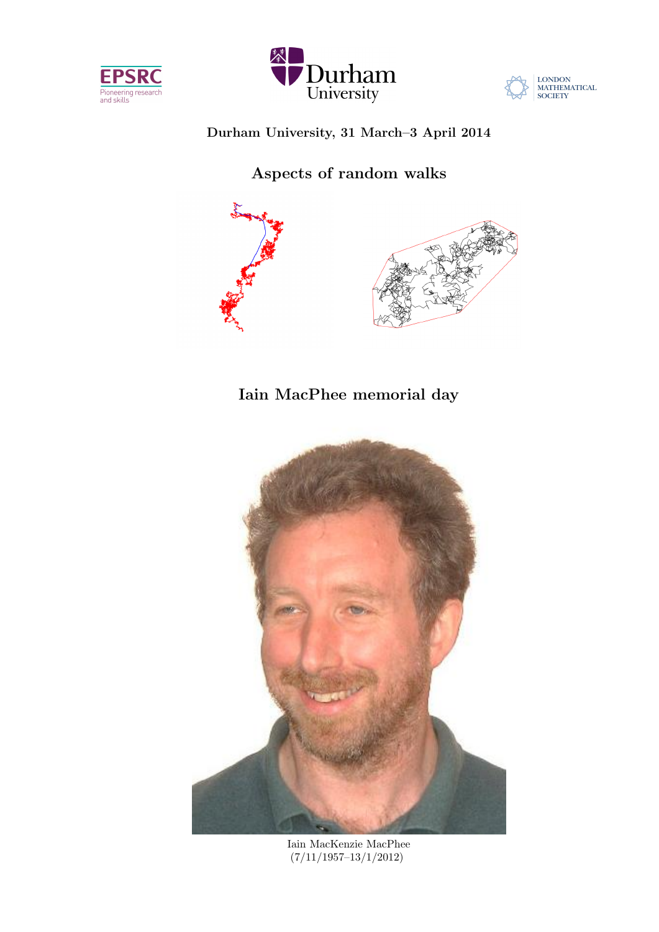





## Durham University, 31 March–3 April 2014

Aspects of random walks



# Iain MacPhee memorial day



Iain MacKenzie MacPhee (7/11/1957–13/1/2012)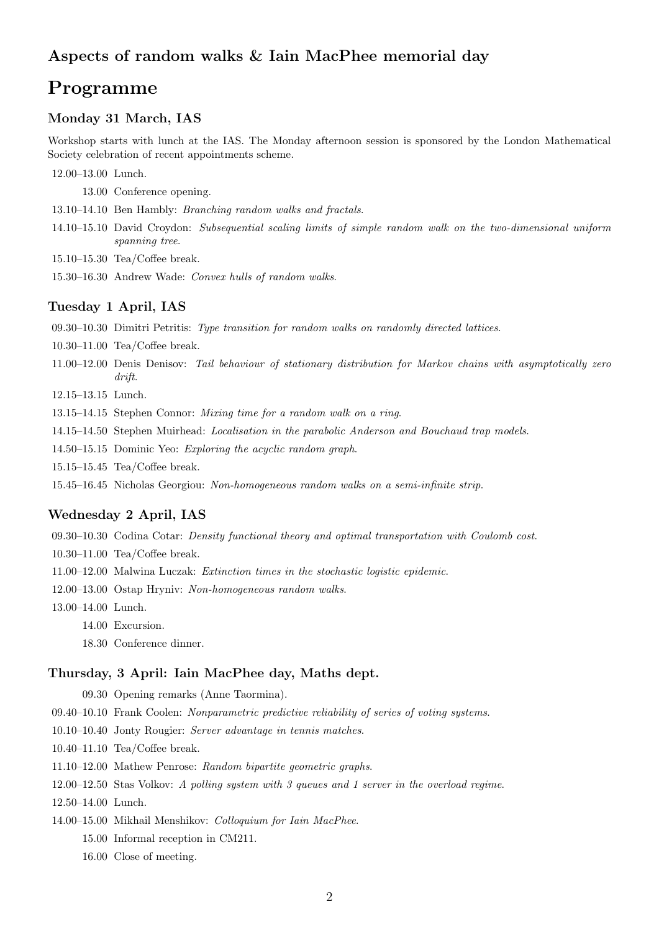## Aspects of random walks & Iain MacPhee memorial day

## Programme

## Monday 31 March, IAS

Workshop starts with lunch at the IAS. The Monday afternoon session is sponsored by the London Mathematical Society celebration of recent appointments scheme.

12.00–13.00 Lunch.

13.00 Conference opening.

13.10–14.10 Ben Hambly: Branching random walks and fractals.

- 14.10–15.10 David Croydon: Subsequential scaling limits of simple random walk on the two-dimensional uniform spanning tree.
- 15.10–15.30 Tea/Coffee break.

15.30–16.30 Andrew Wade: Convex hulls of random walks.

## Tuesday 1 April, IAS

- 09.30–10.30 Dimitri Petritis: Type transition for random walks on randomly directed lattices.
- 10.30–11.00 Tea/Coffee break.
- 11.00–12.00 Denis Denisov: Tail behaviour of stationary distribution for Markov chains with asymptotically zero drift.
- 12.15–13.15 Lunch.
- 13.15–14.15 Stephen Connor: Mixing time for a random walk on a ring.
- 14.15–14.50 Stephen Muirhead: Localisation in the parabolic Anderson and Bouchaud trap models.
- 14.50–15.15 Dominic Yeo: Exploring the acyclic random graph.
- 15.15–15.45 Tea/Coffee break.
- 15.45–16.45 Nicholas Georgiou: Non-homogeneous random walks on a semi-infinite strip.

### Wednesday 2 April, IAS

09.30–10.30 Codina Cotar: Density functional theory and optimal transportation with Coulomb cost.

- 10.30–11.00 Tea/Coffee break.
- 11.00–12.00 Malwina Luczak: Extinction times in the stochastic logistic epidemic.
- 12.00–13.00 Ostap Hryniv: Non-homogeneous random walks.
- 13.00–14.00 Lunch.
	- 14.00 Excursion.
	- 18.30 Conference dinner.

#### Thursday, 3 April: Iain MacPhee day, Maths dept.

09.30 Opening remarks (Anne Taormina).

- 09.40–10.10 Frank Coolen: Nonparametric predictive reliability of series of voting systems.
- 10.10–10.40 Jonty Rougier: Server advantage in tennis matches.
- 10.40–11.10 Tea/Coffee break.
- 11.10–12.00 Mathew Penrose: Random bipartite geometric graphs.
- 12.00–12.50 Stas Volkov: A polling system with 3 queues and 1 server in the overload regime.
- 12.50–14.00 Lunch.
- 14.00–15.00 Mikhail Menshikov: Colloquium for Iain MacPhee.
	- 15.00 Informal reception in CM211.
	- 16.00 Close of meeting.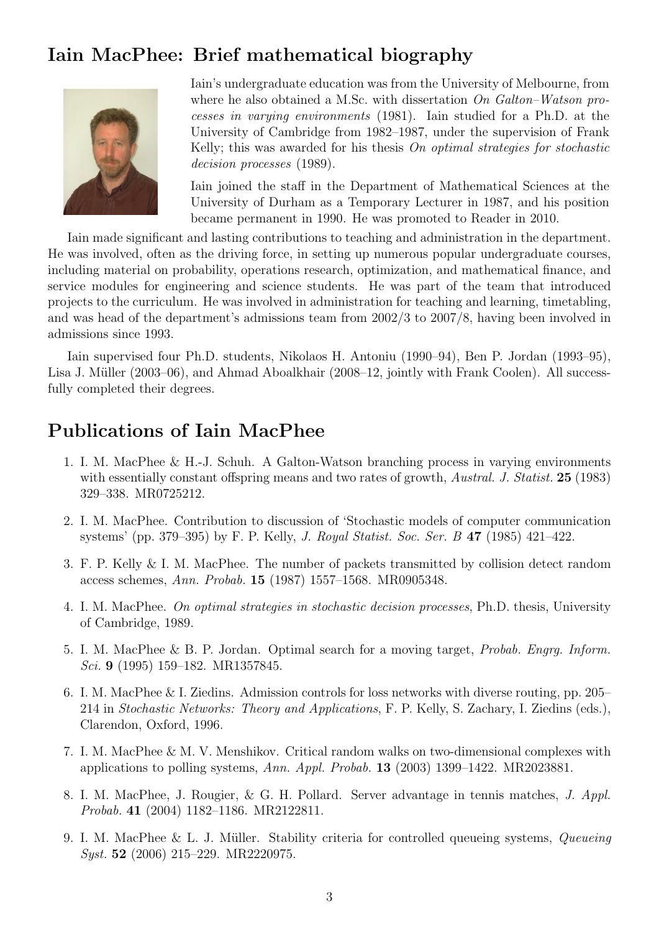# Iain MacPhee: Brief mathematical biography



Iain's undergraduate education was from the University of Melbourne, from where he also obtained a M.Sc. with dissertation  $On$   $Galton-Watson$  processes in varying environments (1981). Iain studied for a Ph.D. at the University of Cambridge from 1982–1987, under the supervision of Frank Kelly; this was awarded for his thesis *On optimal strategies for stochastic* decision processes (1989).

Iain joined the staff in the Department of Mathematical Sciences at the University of Durham as a Temporary Lecturer in 1987, and his position became permanent in 1990. He was promoted to Reader in 2010.

Iain made significant and lasting contributions to teaching and administration in the department. He was involved, often as the driving force, in setting up numerous popular undergraduate courses, including material on probability, operations research, optimization, and mathematical finance, and service modules for engineering and science students. He was part of the team that introduced projects to the curriculum. He was involved in administration for teaching and learning, timetabling, and was head of the department's admissions team from 2002/3 to 2007/8, having been involved in admissions since 1993.

Iain supervised four Ph.D. students, Nikolaos H. Antoniu (1990–94), Ben P. Jordan (1993–95), Lisa J. Müller (2003–06), and Ahmad Aboalkhair (2008–12, jointly with Frank Coolen). All successfully completed their degrees.

## Publications of Iain MacPhee

- 1. I. M. MacPhee & H.-J. Schuh. A Galton-Watson branching process in varying environments with essentially constant offspring means and two rates of growth, *Austral. J. Statist.* 25 (1983) 329–338. MR0725212.
- 2. I. M. MacPhee. Contribution to discussion of 'Stochastic models of computer communication systems' (pp. 379–395) by F. P. Kelly, J. Royal Statist. Soc. Ser. B 47 (1985) 421–422.
- 3. F. P. Kelly & I. M. MacPhee. The number of packets transmitted by collision detect random access schemes, Ann. Probab. 15 (1987) 1557–1568. MR0905348.
- 4. I. M. MacPhee. On optimal strategies in stochastic decision processes, Ph.D. thesis, University of Cambridge, 1989.
- 5. I. M. MacPhee & B. P. Jordan. Optimal search for a moving target, Probab. Engrg. Inform. Sci. 9 (1995) 159–182. MR1357845.
- 6. I. M. MacPhee & I. Ziedins. Admission controls for loss networks with diverse routing, pp. 205– 214 in Stochastic Networks: Theory and Applications, F. P. Kelly, S. Zachary, I. Ziedins (eds.), Clarendon, Oxford, 1996.
- 7. I. M. MacPhee & M. V. Menshikov. Critical random walks on two-dimensional complexes with applications to polling systems, Ann. Appl. Probab. 13 (2003) 1399–1422. MR2023881.
- 8. I. M. MacPhee, J. Rougier, & G. H. Pollard. Server advantage in tennis matches, J. Appl. Probab. 41 (2004) 1182–1186. MR2122811.
- 9. I. M. MacPhee & L. J. Müller. Stability criteria for controlled queueing systems, *Queueing* Syst. 52 (2006) 215–229. MR2220975.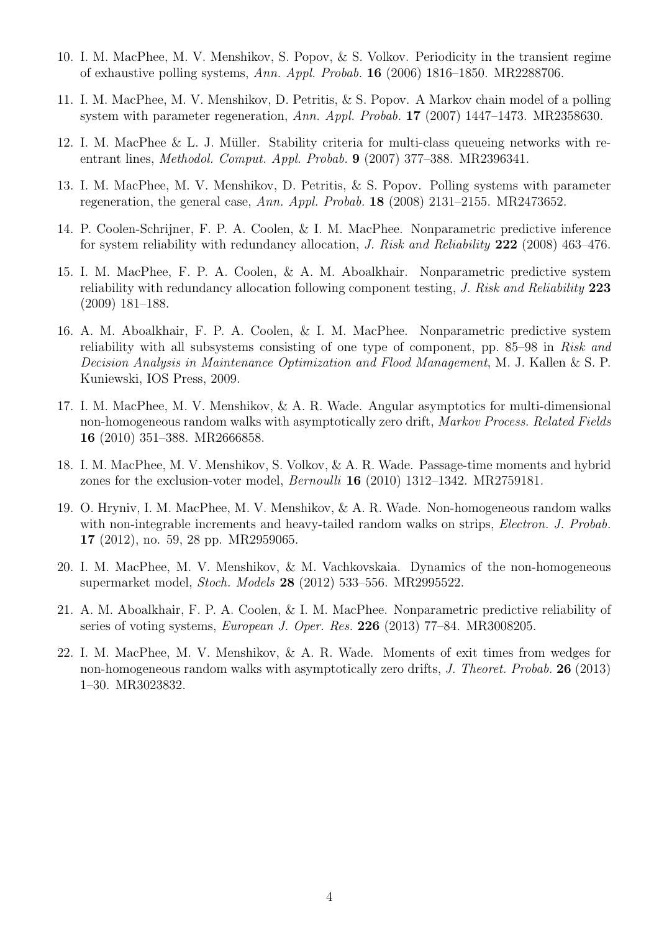- 10. I. M. MacPhee, M. V. Menshikov, S. Popov, & S. Volkov. Periodicity in the transient regime of exhaustive polling systems, Ann. Appl. Probab. 16 (2006) 1816–1850. MR2288706.
- 11. I. M. MacPhee, M. V. Menshikov, D. Petritis, & S. Popov. A Markov chain model of a polling system with parameter regeneration, Ann. Appl. Probab. 17 (2007) 1447–1473. MR2358630.
- 12. I. M. MacPhee & L. J. Müller. Stability criteria for multi-class queueing networks with reentrant lines, Methodol. Comput. Appl. Probab. 9 (2007) 377–388. MR2396341.
- 13. I. M. MacPhee, M. V. Menshikov, D. Petritis, & S. Popov. Polling systems with parameter regeneration, the general case, Ann. Appl. Probab. 18 (2008) 2131–2155. MR2473652.
- 14. P. Coolen-Schrijner, F. P. A. Coolen, & I. M. MacPhee. Nonparametric predictive inference for system reliability with redundancy allocation, J. Risk and Reliability 222 (2008) 463–476.
- 15. I. M. MacPhee, F. P. A. Coolen, & A. M. Aboalkhair. Nonparametric predictive system reliability with redundancy allocation following component testing, J. Risk and Reliability 223 (2009) 181–188.
- 16. A. M. Aboalkhair, F. P. A. Coolen, & I. M. MacPhee. Nonparametric predictive system reliability with all subsystems consisting of one type of component, pp. 85–98 in Risk and Decision Analysis in Maintenance Optimization and Flood Management, M. J. Kallen & S. P. Kuniewski, IOS Press, 2009.
- 17. I. M. MacPhee, M. V. Menshikov, & A. R. Wade. Angular asymptotics for multi-dimensional non-homogeneous random walks with asymptotically zero drift, Markov Process. Related Fields 16 (2010) 351–388. MR2666858.
- 18. I. M. MacPhee, M. V. Menshikov, S. Volkov, & A. R. Wade. Passage-time moments and hybrid zones for the exclusion-voter model,  $Bernoulli$  **16** (2010) 1312–1342. MR2759181.
- 19. O. Hryniv, I. M. MacPhee, M. V. Menshikov, & A. R. Wade. Non-homogeneous random walks with non-integrable increments and heavy-tailed random walks on strips, *Electron. J. Probab.* 17 (2012), no. 59, 28 pp. MR2959065.
- 20. I. M. MacPhee, M. V. Menshikov, & M. Vachkovskaia. Dynamics of the non-homogeneous supermarket model, Stoch. Models 28 (2012) 533–556. MR2995522.
- 21. A. M. Aboalkhair, F. P. A. Coolen, & I. M. MacPhee. Nonparametric predictive reliability of series of voting systems, European J. Oper. Res. 226 (2013) 77–84. MR3008205.
- 22. I. M. MacPhee, M. V. Menshikov, & A. R. Wade. Moments of exit times from wedges for non-homogeneous random walks with asymptotically zero drifts, J. Theoret. Probab. 26 (2013) 1–30. MR3023832.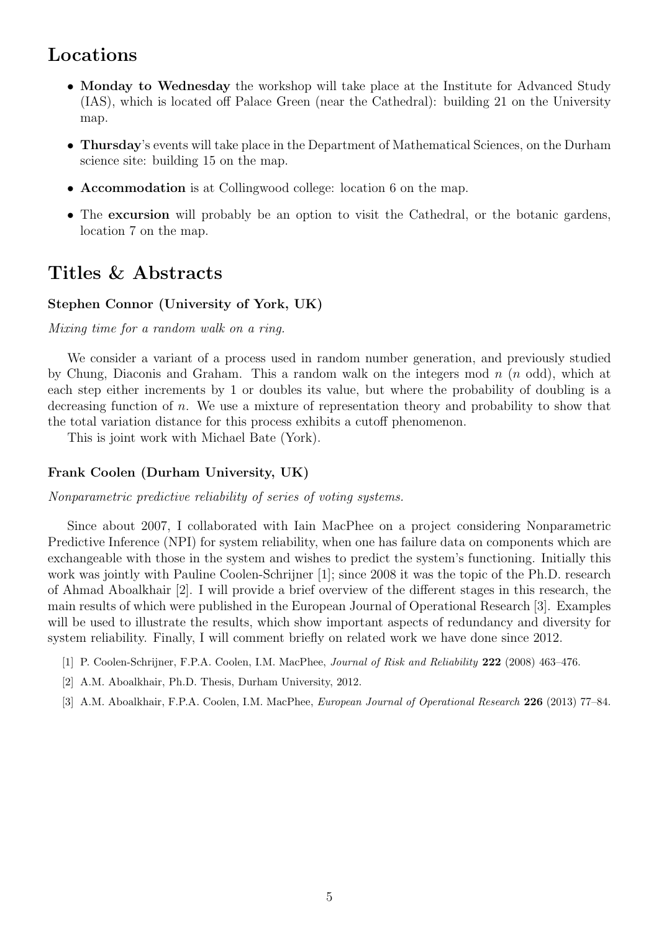## Locations

- Monday to Wednesday the workshop will take place at the Institute for Advanced Study (IAS), which is located off Palace Green (near the Cathedral): building 21 on the University map.
- Thursday's events will take place in the Department of Mathematical Sciences, on the Durham science site: building 15 on the map.
- Accommodation is at Collingwood college: location 6 on the map.
- The excursion will probably be an option to visit the Cathedral, or the botanic gardens, location 7 on the map.

## Titles & Abstracts

## Stephen Connor (University of York, UK)

Mixing time for a random walk on a ring.

We consider a variant of a process used in random number generation, and previously studied by Chung, Diaconis and Graham. This a random walk on the integers mod  $n$  ( $n$  odd), which at each step either increments by 1 or doubles its value, but where the probability of doubling is a decreasing function of n. We use a mixture of representation theory and probability to show that the total variation distance for this process exhibits a cutoff phenomenon.

This is joint work with Michael Bate (York).

## Frank Coolen (Durham University, UK)

Nonparametric predictive reliability of series of voting systems.

Since about 2007, I collaborated with Iain MacPhee on a project considering Nonparametric Predictive Inference (NPI) for system reliability, when one has failure data on components which are exchangeable with those in the system and wishes to predict the system's functioning. Initially this work was jointly with Pauline Coolen-Schrijner [1]; since 2008 it was the topic of the Ph.D. research of Ahmad Aboalkhair [2]. I will provide a brief overview of the different stages in this research, the main results of which were published in the European Journal of Operational Research [3]. Examples will be used to illustrate the results, which show important aspects of redundancy and diversity for system reliability. Finally, I will comment briefly on related work we have done since 2012.

- [1] P. Coolen-Schrijner, F.P.A. Coolen, I.M. MacPhee, Journal of Risk and Reliability 222 (2008) 463–476.
- [2] A.M. Aboalkhair, Ph.D. Thesis, Durham University, 2012.
- [3] A.M. Aboalkhair, F.P.A. Coolen, I.M. MacPhee, *European Journal of Operational Research* 226 (2013) 77–84.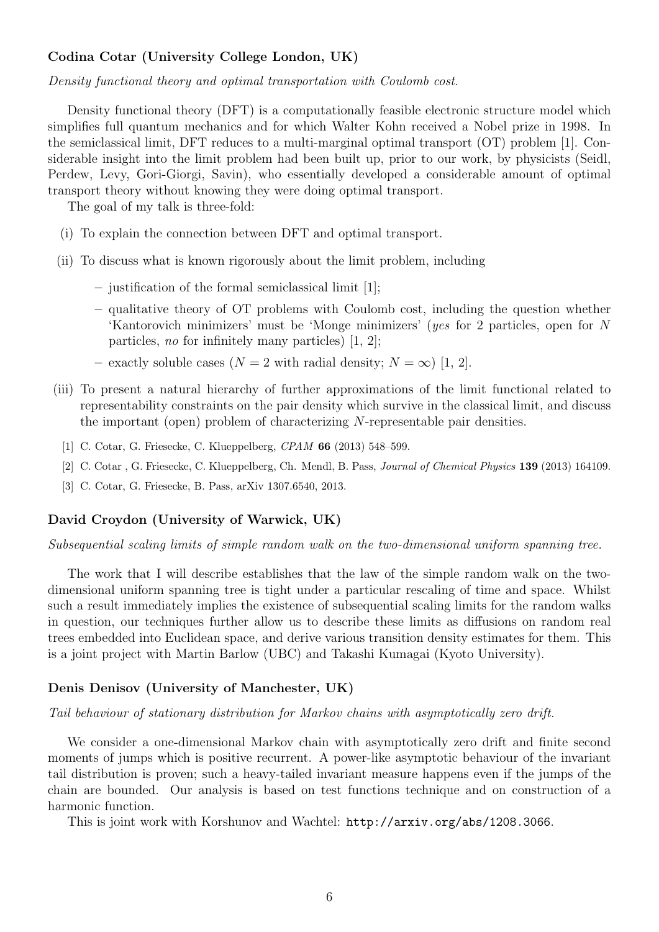## Codina Cotar (University College London, UK)

Density functional theory and optimal transportation with Coulomb cost.

Density functional theory (DFT) is a computationally feasible electronic structure model which simplifies full quantum mechanics and for which Walter Kohn received a Nobel prize in 1998. In the semiclassical limit, DFT reduces to a multi-marginal optimal transport (OT) problem [1]. Considerable insight into the limit problem had been built up, prior to our work, by physicists (Seidl, Perdew, Levy, Gori-Giorgi, Savin), who essentially developed a considerable amount of optimal transport theory without knowing they were doing optimal transport.

The goal of my talk is three-fold:

- (i) To explain the connection between DFT and optimal transport.
- (ii) To discuss what is known rigorously about the limit problem, including
	- justification of the formal semiclassical limit [1];
	- qualitative theory of OT problems with Coulomb cost, including the question whether 'Kantorovich minimizers' must be 'Monge minimizers' (yes for 2 particles, open for N particles, no for infinitely many particles) [1, 2];
	- exactly soluble cases ( $N = 2$  with radial density;  $N = \infty$ ) [1, 2].
- (iii) To present a natural hierarchy of further approximations of the limit functional related to representability constraints on the pair density which survive in the classical limit, and discuss the important (open) problem of characterizing N-representable pair densities.
	- [1] C. Cotar, G. Friesecke, C. Klueppelberg, CPAM **66** (2013) 548–599.
	- [2] C. Cotar , G. Friesecke, C. Klueppelberg, Ch. Mendl, B. Pass, Journal of Chemical Physics 139 (2013) 164109.
	- [3] C. Cotar, G. Friesecke, B. Pass, arXiv 1307.6540, 2013.

#### David Croydon (University of Warwick, UK)

Subsequential scaling limits of simple random walk on the two-dimensional uniform spanning tree.

The work that I will describe establishes that the law of the simple random walk on the twodimensional uniform spanning tree is tight under a particular rescaling of time and space. Whilst such a result immediately implies the existence of subsequential scaling limits for the random walks in question, our techniques further allow us to describe these limits as diffusions on random real trees embedded into Euclidean space, and derive various transition density estimates for them. This is a joint project with Martin Barlow (UBC) and Takashi Kumagai (Kyoto University).

### Denis Denisov (University of Manchester, UK)

#### Tail behaviour of stationary distribution for Markov chains with asymptotically zero drift.

We consider a one-dimensional Markov chain with asymptotically zero drift and finite second moments of jumps which is positive recurrent. A power-like asymptotic behaviour of the invariant tail distribution is proven; such a heavy-tailed invariant measure happens even if the jumps of the chain are bounded. Our analysis is based on test functions technique and on construction of a harmonic function.

This is joint work with Korshunov and Wachtel: http://arxiv.org/abs/1208.3066.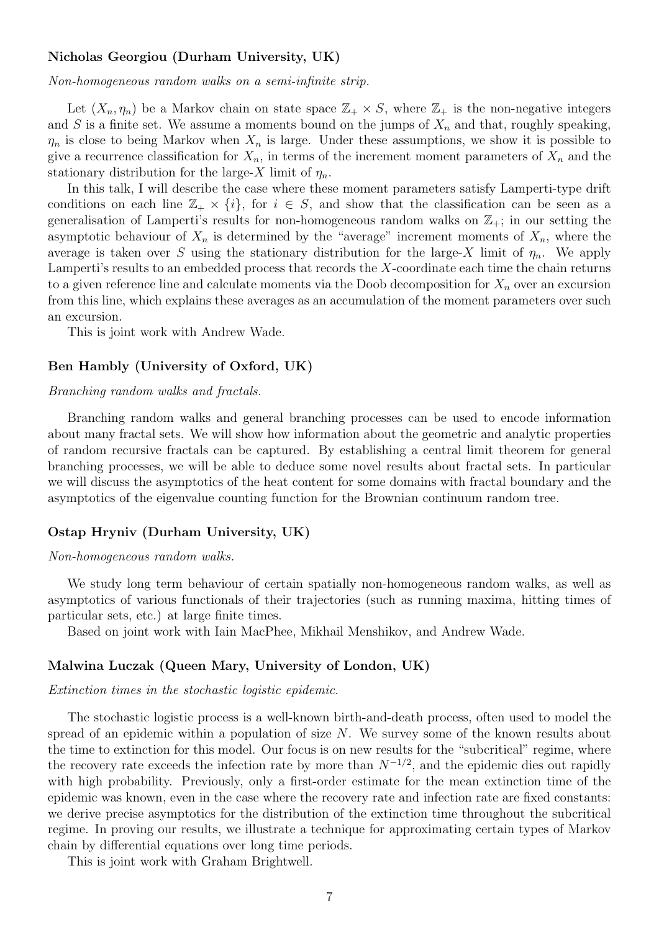### Nicholas Georgiou (Durham University, UK)

Non-homogeneous random walks on a semi-infinite strip.

Let  $(X_n, \eta_n)$  be a Markov chain on state space  $\mathbb{Z}_+ \times S$ , where  $\mathbb{Z}_+$  is the non-negative integers and S is a finite set. We assume a moments bound on the jumps of  $X_n$  and that, roughly speaking,  $\eta_n$  is close to being Markov when  $X_n$  is large. Under these assumptions, we show it is possible to give a recurrence classification for  $X_n$ , in terms of the increment moment parameters of  $X_n$  and the stationary distribution for the large-X limit of  $\eta_n$ .

In this talk, I will describe the case where these moment parameters satisfy Lamperti-type drift conditions on each line  $\mathbb{Z}_+ \times \{i\}$ , for  $i \in S$ , and show that the classification can be seen as a generalisation of Lamperti's results for non-homogeneous random walks on  $\mathbb{Z}_+$ ; in our setting the asymptotic behaviour of  $X_n$  is determined by the "average" increment moments of  $X_n$ , where the average is taken over S using the stationary distribution for the large-X limit of  $\eta_n$ . We apply Lamperti's results to an embedded process that records the  $X$ -coordinate each time the chain returns to a given reference line and calculate moments via the Doob decomposition for  $X_n$  over an excursion from this line, which explains these averages as an accumulation of the moment parameters over such an excursion.

This is joint work with Andrew Wade.

#### Ben Hambly (University of Oxford, UK)

#### Branching random walks and fractals.

Branching random walks and general branching processes can be used to encode information about many fractal sets. We will show how information about the geometric and analytic properties of random recursive fractals can be captured. By establishing a central limit theorem for general branching processes, we will be able to deduce some novel results about fractal sets. In particular we will discuss the asymptotics of the heat content for some domains with fractal boundary and the asymptotics of the eigenvalue counting function for the Brownian continuum random tree.

## Ostap Hryniv (Durham University, UK)

#### Non-homogeneous random walks.

We study long term behaviour of certain spatially non-homogeneous random walks, as well as asymptotics of various functionals of their trajectories (such as running maxima, hitting times of particular sets, etc.) at large finite times.

Based on joint work with Iain MacPhee, Mikhail Menshikov, and Andrew Wade.

### Malwina Luczak (Queen Mary, University of London, UK)

#### Extinction times in the stochastic logistic epidemic.

The stochastic logistic process is a well-known birth-and-death process, often used to model the spread of an epidemic within a population of size N. We survey some of the known results about the time to extinction for this model. Our focus is on new results for the "subcritical" regime, where the recovery rate exceeds the infection rate by more than  $N^{-1/2}$ , and the epidemic dies out rapidly with high probability. Previously, only a first-order estimate for the mean extinction time of the epidemic was known, even in the case where the recovery rate and infection rate are fixed constants: we derive precise asymptotics for the distribution of the extinction time throughout the subcritical regime. In proving our results, we illustrate a technique for approximating certain types of Markov chain by differential equations over long time periods.

This is joint work with Graham Brightwell.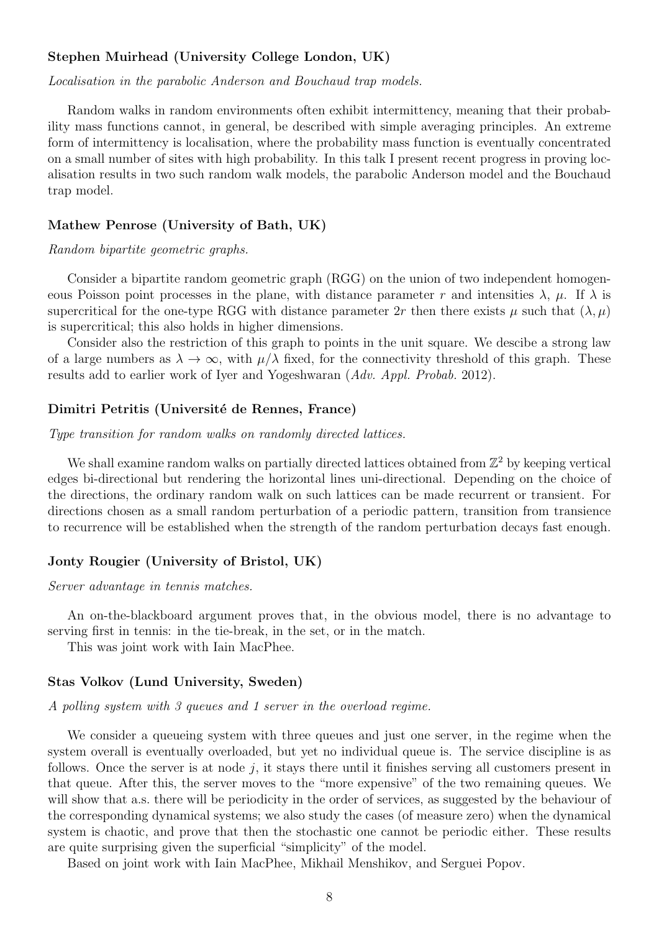## Stephen Muirhead (University College London, UK)

Localisation in the parabolic Anderson and Bouchaud trap models.

Random walks in random environments often exhibit intermittency, meaning that their probability mass functions cannot, in general, be described with simple averaging principles. An extreme form of intermittency is localisation, where the probability mass function is eventually concentrated on a small number of sites with high probability. In this talk I present recent progress in proving localisation results in two such random walk models, the parabolic Anderson model and the Bouchaud trap model.

## Mathew Penrose (University of Bath, UK)

#### Random bipartite geometric graphs.

Consider a bipartite random geometric graph (RGG) on the union of two independent homogeneous Poisson point processes in the plane, with distance parameter r and intensities  $\lambda$ ,  $\mu$ . If  $\lambda$  is supercritical for the one-type RGG with distance parameter  $2r$  then there exists  $\mu$  such that  $(\lambda, \mu)$ is supercritical; this also holds in higher dimensions.

Consider also the restriction of this graph to points in the unit square. We descibe a strong law of a large numbers as  $\lambda \to \infty$ , with  $\mu/\lambda$  fixed, for the connectivity threshold of this graph. These results add to earlier work of Iyer and Yogeshwaran (Adv. Appl. Probab. 2012).

### Dimitri Petritis (Universit´e de Rennes, France)

Type transition for random walks on randomly directed lattices.

We shall examine random walks on partially directed lattices obtained from  $\mathbb{Z}^2$  by keeping vertical edges bi-directional but rendering the horizontal lines uni-directional. Depending on the choice of the directions, the ordinary random walk on such lattices can be made recurrent or transient. For directions chosen as a small random perturbation of a periodic pattern, transition from transience to recurrence will be established when the strength of the random perturbation decays fast enough.

## Jonty Rougier (University of Bristol, UK)

Server advantage in tennis matches.

An on-the-blackboard argument proves that, in the obvious model, there is no advantage to serving first in tennis: in the tie-break, in the set, or in the match.

This was joint work with Iain MacPhee.

## Stas Volkov (Lund University, Sweden)

A polling system with 3 queues and 1 server in the overload regime.

We consider a queueing system with three queues and just one server, in the regime when the system overall is eventually overloaded, but yet no individual queue is. The service discipline is as follows. Once the server is at node  $j$ , it stays there until it finishes serving all customers present in that queue. After this, the server moves to the "more expensive" of the two remaining queues. We will show that a.s. there will be periodicity in the order of services, as suggested by the behaviour of the corresponding dynamical systems; we also study the cases (of measure zero) when the dynamical system is chaotic, and prove that then the stochastic one cannot be periodic either. These results are quite surprising given the superficial "simplicity" of the model.

Based on joint work with Iain MacPhee, Mikhail Menshikov, and Serguei Popov.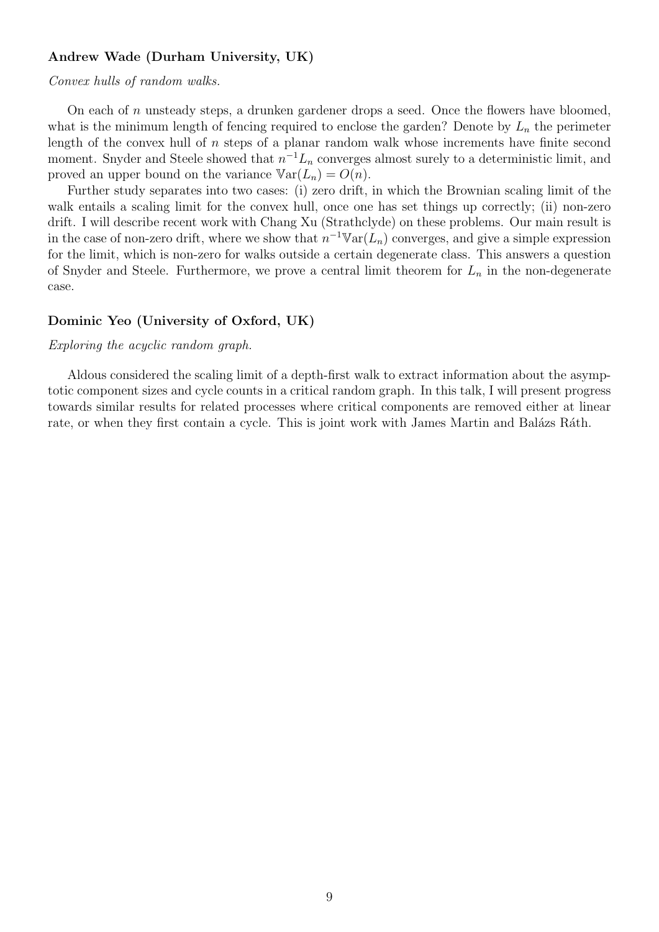## Andrew Wade (Durham University, UK)

### Convex hulls of random walks.

On each of n unsteady steps, a drunken gardener drops a seed. Once the flowers have bloomed, what is the minimum length of fencing required to enclose the garden? Denote by  $L_n$  the perimeter length of the convex hull of  $n$  steps of a planar random walk whose increments have finite second moment. Snyder and Steele showed that  $n^{-1}L_n$  converges almost surely to a deterministic limit, and proved an upper bound on the variance  $\mathbb{V}\text{ar}(L_n) = O(n)$ .

Further study separates into two cases: (i) zero drift, in which the Brownian scaling limit of the walk entails a scaling limit for the convex hull, once one has set things up correctly; (ii) non-zero drift. I will describe recent work with Chang Xu (Strathclyde) on these problems. Our main result is in the case of non-zero drift, where we show that  $n^{-1} \mathbb{V}\text{ar}(L_n)$  converges, and give a simple expression for the limit, which is non-zero for walks outside a certain degenerate class. This answers a question of Snyder and Steele. Furthermore, we prove a central limit theorem for  $L_n$  in the non-degenerate case.

### Dominic Yeo (University of Oxford, UK)

#### Exploring the acyclic random graph.

Aldous considered the scaling limit of a depth-first walk to extract information about the asymptotic component sizes and cycle counts in a critical random graph. In this talk, I will present progress towards similar results for related processes where critical components are removed either at linear rate, or when they first contain a cycle. This is joint work with James Martin and Balázs Ráth.